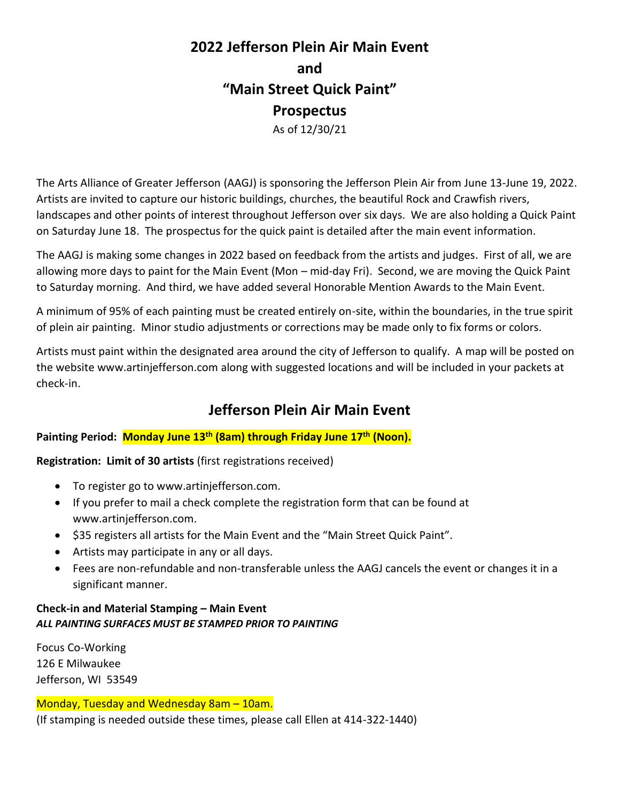# **2022 Jefferson Plein Air Main Event and "Main Street Quick Paint" Prospectus** As of 12/30/21

The Arts Alliance of Greater Jefferson (AAGJ) is sponsoring the Jefferson Plein Air from June 13-June 19, 2022. Artists are invited to capture our historic buildings, churches, the beautiful Rock and Crawfish rivers, landscapes and other points of interest throughout Jefferson over six days. We are also holding a Quick Paint on Saturday June 18. The prospectus for the quick paint is detailed after the main event information.

The AAGJ is making some changes in 2022 based on feedback from the artists and judges. First of all, we are allowing more days to paint for the Main Event (Mon – mid-day Fri). Second, we are moving the Quick Paint to Saturday morning. And third, we have added several Honorable Mention Awards to the Main Event.

A minimum of 95% of each painting must be created entirely on-site, within the boundaries, in the true spirit of plein air painting. Minor studio adjustments or corrections may be made only to fix forms or colors.

Artists must paint within the designated area around the city of Jefferson to qualify. A map will be posted on the website [www.artinjefferson.com](http://www.artinjefferson.com/) along with suggested locations and will be included in your packets at check-in.

# **Jefferson Plein Air Main Event**

# **Painting Period: Monday June 13 th (8am) through Friday June 17th (Noon).**

**Registration: Limit of 30 artists** (first registrations received)

- To register go to www.artinjefferson.com.
- If you prefer to mail a check complete the registration form that can be found at www.artinjefferson.com.
- \$35 registers all artists for the Main Event and the "Main Street Quick Paint".
- Artists may participate in any or all days.
- Fees are non-refundable and non-transferable unless the AAGJ cancels the event or changes it in a significant manner.

# **Check-in and Material Stamping – Main Event** *ALL PAINTING SURFACES MUST BE STAMPED PRIOR TO PAINTING*

Focus Co-Working 126 E Milwaukee Jefferson, WI 53549

#### Monday, Tuesday and Wednesday 8am – 10am.

(If stamping is needed outside these times, please call Ellen at 414-322-1440)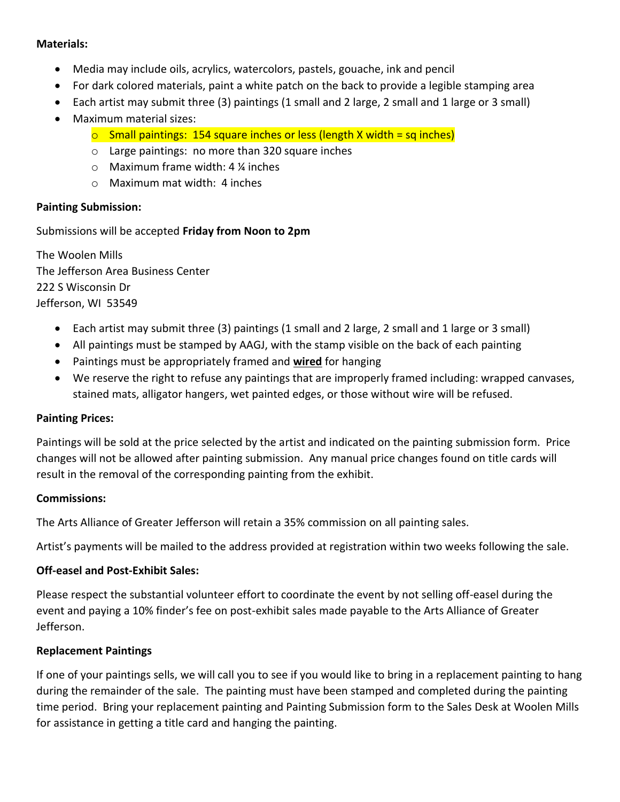#### **Materials:**

- Media may include oils, acrylics, watercolors, pastels, gouache, ink and pencil
- For dark colored materials, paint a white patch on the back to provide a legible stamping area
- Each artist may submit three (3) paintings (1 small and 2 large, 2 small and 1 large or 3 small)
- Maximum material sizes:
	- $\circ$  Small paintings: 154 square inches or less (length X width = sq inches)
	- o Large paintings: no more than 320 square inches
	- o Maximum frame width: 4 ¼ inches
	- o Maximum mat width: 4 inches

#### **Painting Submission:**

Submissions will be accepted **Friday from Noon to 2pm**

The Woolen Mills The Jefferson Area Business Center 222 S Wisconsin Dr Jefferson, WI 53549

- Each artist may submit three (3) paintings (1 small and 2 large, 2 small and 1 large or 3 small)
- All paintings must be stamped by AAGJ, with the stamp visible on the back of each painting
- Paintings must be appropriately framed and **wired** for hanging
- We reserve the right to refuse any paintings that are improperly framed including: wrapped canvases, stained mats, alligator hangers, wet painted edges, or those without wire will be refused.

#### **Painting Prices:**

Paintings will be sold at the price selected by the artist and indicated on the painting submission form. Price changes will not be allowed after painting submission. Any manual price changes found on title cards will result in the removal of the corresponding painting from the exhibit.

#### **Commissions:**

The Arts Alliance of Greater Jefferson will retain a 35% commission on all painting sales.

Artist's payments will be mailed to the address provided at registration within two weeks following the sale.

# **Off-easel and Post-Exhibit Sales:**

Please respect the substantial volunteer effort to coordinate the event by not selling off-easel during the event and paying a 10% finder's fee on post-exhibit sales made payable to the Arts Alliance of Greater Jefferson.

# **Replacement Paintings**

If one of your paintings sells, we will call you to see if you would like to bring in a replacement painting to hang during the remainder of the sale. The painting must have been stamped and completed during the painting time period. Bring your replacement painting and Painting Submission form to the Sales Desk at Woolen Mills for assistance in getting a title card and hanging the painting.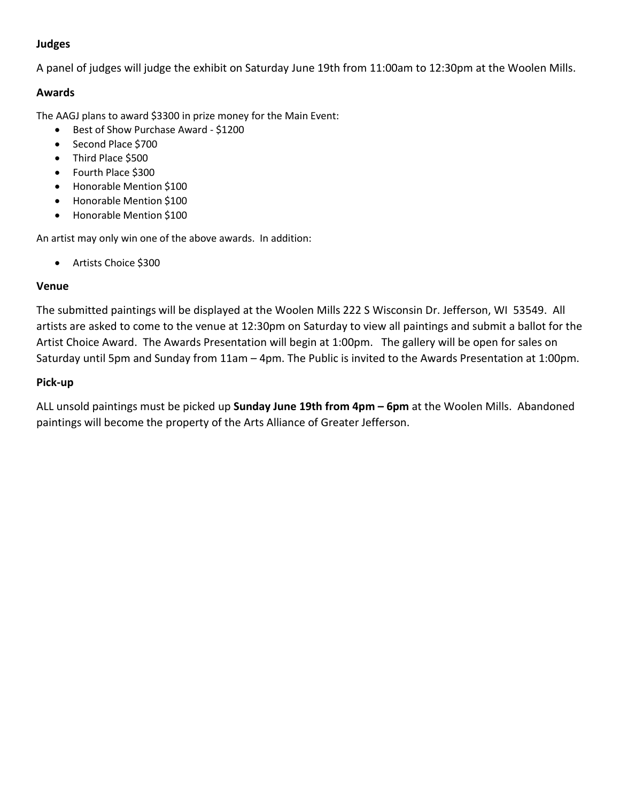# **Judges**

A panel of judges will judge the exhibit on Saturday June 19th from 11:00am to 12:30pm at the Woolen Mills.

#### **Awards**

The AAGJ plans to award \$3300 in prize money for the Main Event:

- Best of Show Purchase Award \$1200
- Second Place \$700
- Third Place \$500
- Fourth Place \$300
- Honorable Mention \$100
- Honorable Mention \$100
- Honorable Mention \$100

An artist may only win one of the above awards. In addition:

• Artists Choice \$300

#### **Venue**

The submitted paintings will be displayed at the Woolen Mills 222 S Wisconsin Dr. Jefferson, WI 53549. All artists are asked to come to the venue at 12:30pm on Saturday to view all paintings and submit a ballot for the Artist Choice Award. The Awards Presentation will begin at 1:00pm. The gallery will be open for sales on Saturday until 5pm and Sunday from 11am – 4pm. The Public is invited to the Awards Presentation at 1:00pm.

#### **Pick-up**

ALL unsold paintings must be picked up **Sunday June 19th from 4pm – 6pm** at the Woolen Mills. Abandoned paintings will become the property of the Arts Alliance of Greater Jefferson.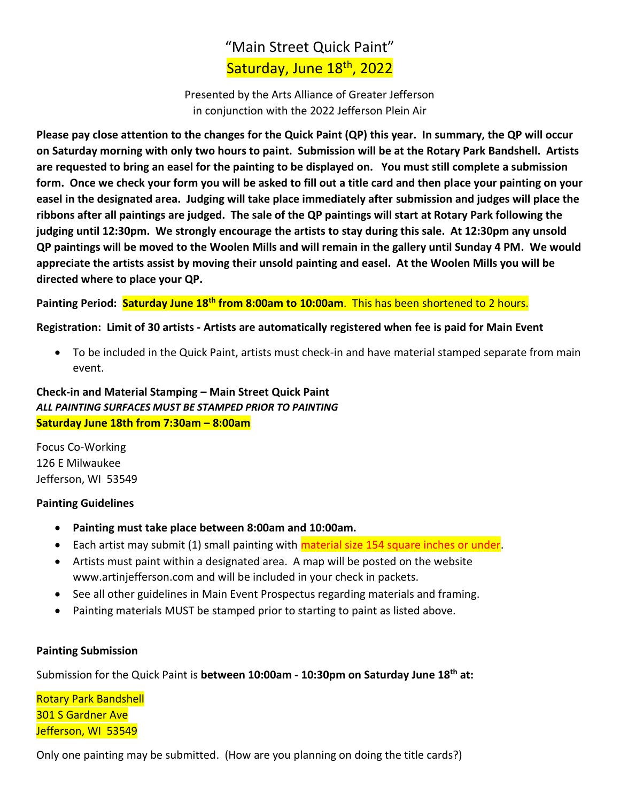# "Main Street Quick Paint" Saturday, June 18<sup>th</sup>, 2022

Presented by the Arts Alliance of Greater Jefferson in conjunction with the 2022 Jefferson Plein Air

**Please pay close attention to the changes for the Quick Paint (QP) this year. In summary, the QP will occur on Saturday morning with only two hours to paint. Submission will be at the Rotary Park Bandshell. Artists are requested to bring an easel for the painting to be displayed on. You must still complete a submission form. Once we check your form you will be asked to fill out a title card and then place your painting on your easel in the designated area. Judging will take place immediately after submission and judges will place the ribbons after all paintings are judged. The sale of the QP paintings will start at Rotary Park following the judging until 12:30pm. We strongly encourage the artists to stay during this sale. At 12:30pm any unsold QP paintings will be moved to the Woolen Mills and will remain in the gallery until Sunday 4 PM. We would appreciate the artists assist by moving their unsold painting and easel. At the Woolen Mills you will be directed where to place your QP.** 

**Painting Period: Saturday June 18th from 8:00am to 10:00am**. This has been shortened to 2 hours.

#### **Registration: Limit of 30 artists - Artists are automatically registered when fee is paid for Main Event**

• To be included in the Quick Paint, artists must check-in and have material stamped separate from main event.

**Check-in and Material Stamping – Main Street Quick Paint** *ALL PAINTING SURFACES MUST BE STAMPED PRIOR TO PAINTING* **Saturday June 18th from 7:30am – 8:00am**

Focus Co-Working 126 E Milwaukee Jefferson, WI 53549

#### **Painting Guidelines**

- **Painting must take place between 8:00am and 10:00am.**
- Each artist may submit (1) small painting with **material size 154 square inches or under**.
- Artists must paint within a designated area. A map will be posted on the website [www.artinjefferson.com](http://www.artinjefferson.com/) and will be included in your check in packets.
- See all other guidelines in Main Event Prospectus regarding materials and framing.
- Painting materials MUST be stamped prior to starting to paint as listed above.

#### **Painting Submission**

Submission for the Quick Paint is **between 10:00am - 10:30pm on Saturday June 18th at:**

Rotary Park Bandshell 301 S Gardner Ave Jefferson, WI 53549

Only one painting may be submitted. (How are you planning on doing the title cards?)